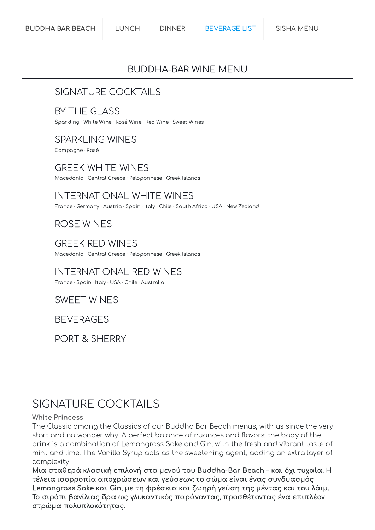## BUDDHA-BAR WINE MENU

## [SIGNATURE](#page-0-0) COCKTAILS

## BY THE [GLASS](#page-5-0)

Sparkling ·White Wine · Rosé Wine · Red Wine · Sweet Wines

## [SPARKLING](#page-6-0) WINES

Campagne · Rosé

## [GREEK](#page-8-0) WHITE WINES

Macedonia · Central Greece · Peloponnese · Greek Islands

## [INTERNATIONAL](#page-11-0) WHITE WINES

France · Germany · Austria · Spain · Italy · Chile · South Africa · USA ·New Zealand

## ROSE [WINES](#page-15-0)

[GREEK](#page-17-0) RED WINES Macedonia · Central Greece · Peloponnese · Greek Islands

# [INTERNATIONAL](#page-18-0) RED WINES

France · Spain · Italy · USA · Chile · Australia

## [SWEET WINES](#page-24-0)

**[BEVERAGES](#page-25-0)** 

PORT & [SHERRY](#page-31-0)

# <span id="page-0-0"></span>SIGNATURE COCKTAILS

#### White Princess

The Classic among the Classics of our Buddha Bar Beach menus, with us since the very start and no wonder why. A perfect balance of nuances and flavors: the body of the drink is a combination of Lemongrass Sake and Gin, with the fresh and vibrant taste of mint and lime. The Vanilla Syrup acts as the sweetening agent, adding an extra layer of complexity.

Μια σταθερά κλασική επιλογή στα μενού του Buddha-Bar Beach – και όχι τυχαία. Η τέλεια ισορροπία αποχρώσεων και γεύσεων: το σώμα είναι ένας συνδυασμός Lemongrass Sake και Gin, με τη φρέσκια και ζωηρή γεύση της μέντας και του λάιμ. Το σιρόπι βανίλιας δρα ως γλυκαντικός παράγοντας, προσθέτοντας ένα επιπλέον στρώμα πολυπλοκότητας.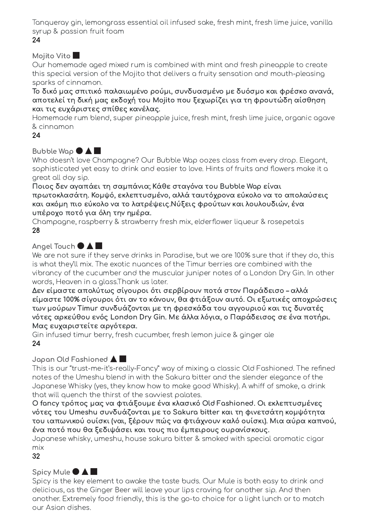Tanqueray gin, lemongrass essential oil infused sake, fresh mint, fresh lime juice, vanilla syrup & passion fruit foam

24

### Mojito Vito

Our homemade aged mixed rum is combined with mint and fresh pineapple to create this special version of the Mojito that delivers a fruity sensation and mouth-pleasing sparks of cinnamon.

Το δικό μας σπιτικό παλαιωμένο ρούμι, συνδυασμένο με δυόσμο και φρέσκο ανανά, αποτελεί τη δική μας εκδοχή του Mojito που ξεχωρίζει για τη φρουτώδη αίσθηση και τις ευχάριστες σπίθες κανέλας.

Homemade rum blend, super pineapple juice, fresh mint, fresh lime juice, organic agave & cinnamon

#### 24

## Bubble Wap  $\bullet$  A

Who doesn't love Champagne? Our Bubble Wap oozes class from every drop. Elegant, sophisticated yet easy to drink and easier to love. Hints of fruits and flowers make it a great all day sip.

Ποιος δεν αγαπάει τη σαμπάνια; Κάθε σταγόνα του Bubble Wap είναι πρωτοκλασάτη. Κομψό, εκλεπτυσμένο, αλλά ταυτόχρονα εύκολο να το απολαύσεις και ακόμη πιο εύκολο να το λατρέψεις.Νύξεις φρούτων και λουλουδιών, ένα υπέροχο ποτό για όλη την ημέρα.

Champagne, raspberry & strawberry fresh mix, elderflower liqueur & rosepetals 28

## Angel Touch  $\bullet$   $\blacktriangle$

We are not sure if they serve drinks in Paradise, but we are 100% sure that if they do, this is what they'll mix. The exotic nuances of the Timur berries are combined with the vibrancy of the cucumber and the muscular juniper notes of a London Dry Gin. In other words, Heaven in a glass.Thank us later.

Δεν είμαστε απολύτως σίγουροι ότι σερβίρουν ποτά στον Παράδεισο – αλλά είμαστε 100% σίγουροι ότι αν το κάνουν, θα φτιάξουν αυτό. Οι εξωτικές αποχρώσεις των μούρων Timur συνδυάζονται με τη φρεσκάδα του αγγουριού και τις δυνατές νότες αρκεύθου ενός London Dry Gin. Με άλλα λόγια, ο Παράδεισος σε ένα ποτήρι. Μας ευχαριστείτε αργότερα.

Gin infused timur berry, fresh cucumber, fresh lemon juice & ginger ale 24

## Japan Old Fashioned

This is our "trust-me-it's-really-Fancy" way of mixing a classic Old Fashioned. The refined notes of the Umeshu blend in with the Sakura bitter and the slender elegance of the Japanese Whisky (yes, they know how to make good Whisky). A whiff of smoke, a drink that will quench the thirst of the savviest palates.

Ο fancy τρόπος μας να φτιάξουμε ένα κλασικό Old Fashioned. Οι εκλεπτυσμένες νότες του Umeshu συνδυάζονται με το Sakura bitter και τη φινετσάτη κομψότητα του ιαπωνικού ουίσκι (ναι, ξέρουν πώς να φτιάχνουν καλό ουίσκι). Μια αύρα καπνού, ένα ποτό που θα ξεδιψάσει και τους πιο έμπειρους ουρανίσκους.

Japanese whisky, umeshu, house sakura bitter & smoked with special aromatic cigar mix

32

## Spicy Mule  $\bullet$   $\blacktriangle$   $\blacksquare$

Spicy is the key element to awake the taste buds. Our Mule is both easy to drink and delicious, as the Ginger Beer will leave your lips craving for another sip. And then another. Extremely food friendly, this is the go-to choice for a light lunch or to match our Asian dishes.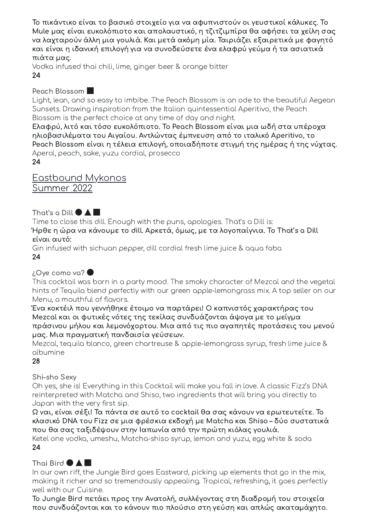Το πικάντικο είναι το βασικό στοιχείο για να αφυπνιστούν οι γευστικοί κάλυκες. Το Mule μας είναι ευκολόπιοτο και απολαυστικό, η τζιτζιμπίρα θα αφήσει τα χείλη σας να λαχταρούν άλλη μια γουλιά. Και μετά ακόμη μία. Ταιριάζει εξαιρετικά με φαγητό και είναι η ιδανική επιλογή για να συνοδεύσετε ένα ελαφρύ γεύμα ή τα ασιατικά πιάτα μας.

Vodka infused thai chili, lime, ginger beer & orange bitter 24

#### Peach Blossom

Light, lean, and so easy to imbibe. The Peach Blossom is an ode to the beautiful Aegean Sunsets. Drawing inspiration from the Italian quintessential Aperitivo, the Peach Blossom is the perfect choice at any time of day and night.

Ελαφρύ, λιτό και τόσο ευκολόπιοτο. Το Peach Blossom είναι μια ωδή στα υπέροχα ηλιοβασιλέματα του Αιγαίου. Αντλώντας έμπνευση από το ιταλικό Aperitivo, το Peach Blossom είναι η τέλεια επιλογή, οποιαδήποτε στιγμή της ημέρας ή της νύχτας. Aperol, peach, sake, yuzu cordial, prosecco

24

Eastbound Mykonos Summer 2022

That's a Dill  $\bullet$   $\blacktriangle$   $\blacksquare$ 

Time to close this dill. Enough with the puns, apologies. That's a Dill is: Ήρθε η ώρα να κάνουμε το dill. Αρκετά, όμως, με τα λογοπαίγνια. Το That's a Dill είναι αυτό:

Gin infused with sichuan pepper, dill cordial fresh lime juice & aqua faba 24

## ¿Oye como va?

This cocktail was born in a party mood. The smoky character of Mezcal and the vegetal hints of Tequila blend perfectly with our green apple-lemongrass mix. A top seller on our Menu, a mouthful of flavors.

Ένα κοκτέιλ που γεννήθηκε έτοιμο να παρτάρει! Ο καπνιστός χαρακτήρας του Mezcal και οι φυτικές νότες της τεκίλας συνδυάζονται άψογα με το μείγμα πράσινου μήλου και λεμονόχορτου. Μια από τις πιο αγαπητές προτάσεις του μενού μας. Μια πραγματική πανδαισία γεύσεων.

Mezcal, tequila blanco, green chartreuse & apple-lemongrass syrup, fresh lime juice & albumine

#### 28

## Shi-sho Sexy

Oh yes, she is! Everything in this Cocktail will make you fall in love. A classic Fizz's DNA reinterpreted with Matcha and Shiso, two ingredients that will bring you directly to Japan with the very first sip.

Ω ναι, είναι σέξι! Τα πάντα σε αυτό το cocktail θα σας κάνουν να ερωτευτείτε. Το κλασικό DNA του Fizz σε μια φρέσκια εκδοχή με Matcha και Shiso – δύο συστατικά που θα σας ταξιδέψουν στην Ιαπωνία από την πρώτη κιόλας γουλιά.

Ketel one vodka, umeshu, Matcha-shiso syrup, lemon and yuzu, egg white & soda 24

## Thai Bird  $\bullet$  A

In our own riff, the Jungle Bird goes Eastward, picking up elements that go in the mix, making it richer and so tremendously appealing. Tropical, refreshing, it goes perfectly well with our Cuisine.

Το Jungle Bird πετάει προς την Ανατολή, συλλέγοντας στη διαδρομή του στοιχεία που συνδυάζονται και το κάνουν πιο πλούσιο στη γεύση και απλώς ακαταμάχητο.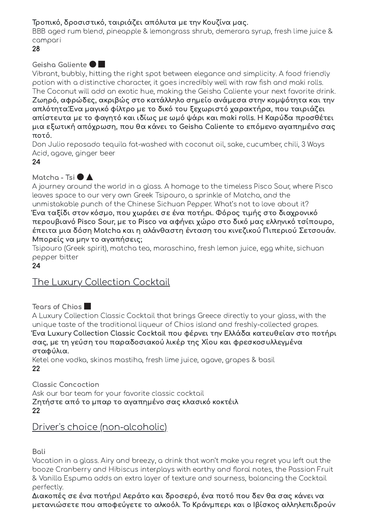## Τροπικό, δροσιστικό, ταιριάζει απόλυτα με την Κουζίνα μας.

BBB aged rum blend, pineapple & lemongrass shrub, demerara syrup, fresh lime juice & campari

28

#### Geisha Galiente

Vibrant, bubbly, hitting the right spot between elegance and simplicity. A food friendly potion with a distinctive character, it goes incredibly well with raw fish and maki rolls. The Coconut will add an exotic hue, making the Geisha Caliente your next favorite drink. Ζωηρό, αφρώδες, ακριβώς στο κατάλληλο σημείο ανάμεσα στην κομψότητα και την απλότητα.Ένα μαγικό φίλτρο με το δικό του ξεχωριστό χαρακτήρα, που ταιριάζει απίστευτα με το φαγητό και ιδίως με ωμό ψάρι και maki rolls. Η Καρύδα προσθέτει μια εξωτική απόχρωση, που θα κάνει το Geisha Caliente το επόμενο αγαπημένο σας ποτό.

Don Julio reposado tequila fat-washed with coconut oil, sake, cucumber, chili, 3 Ways Acid, agave, ginger beer

24

## Matcha - Tsi  $\bullet$  **A**

A journey around the world in a glass. A homage to the timeless Pisco Sour, where Pisco leaves space to our very own Greek Tsipouro, a sprinkle of Matcha, and the unmistakable punch of the Chinese Sichuan Pepper. What's not to love about it?

Ένα ταξίδι στον κόσμο, που χωράει σε ένα ποτήρι. Φόρος τιμής στο διαχρονικό περουβιανό Pisco Sour, με το Pisco να αφήνει χώρο στο δικό μας ελληνικό τσίπουρο, έπειτα μια δόση Matcha και η αλάνθαστη ένταση του κινεζικού Πιπεριού Σετσουάν. Μπορείς να μην το αγαπήσεις;

Tsipouro (Greek spirit), matcha tea, maraschino, fresh lemon juice, egg white, sichuan pepper bitter

24

## The Luxury Collection Cocktail

Tears of Chios

A Luxury Collection Classic Cocktail that brings Greece directly to your glass, with the unique taste of the traditional liqueur of Chios island and freshly-collected grapes. Ένα Luxury Collection Classic Cocktail που φέρνει την Ελλάδα κατευθείαν στο ποτήρι σας, με τη γεύση του παραδοσιακού λικέρ της Χίου και φρεσκοσυλλεγμένα σταφύλια.

Ketel one vodka, skinos mastiha, fresh lime juice, agave, grapes & basil 22

Classic Concoction Ask our bar team for your favorite classic cocktail Ζητήστε από το μπαρ το αγαπημένο σας κλασικό κοκτέιλ 22

## Driver's choice (non-alcoholic)

Bali

Vacation in a glass. Airy and breezy, a drink that won't make you regret you left out the booze Cranberry and Hibiscus interplays with earthy and floral notes, the Passion Fruit & Vanilla Espuma adds an extra layer of texture and sourness, balancing the Cocktail perfectly.

Διακοπές σε ένα ποτήρι! Αεράτο και δροσερό, ένα ποτό που δεν θα σας κάνει να μετανιώσετε που αποφεύγετε το αλκοόλ. Το Κράνμπερι και ο Ιβίσκος αλληλεπιδρούν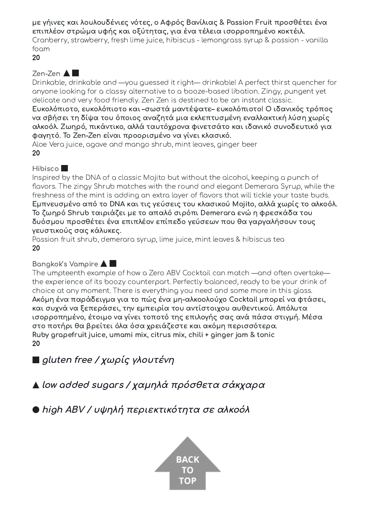με γήινες και λουλουδένιες νότες, ο Αφρός Βανίλιας & Passion Fruit προσθέτει ένα επιπλέον στρώμα υφής και οξύτητας, για ένα τέλεια ισορροπημένο κοκτέιλ. Cranberry, strawberry, fresh lime juice, hibiscus - lemongrass syrup & passion - vanilla foam

20

### Zen-Zen **A**

Drinkable, drinkable and —you guessed it right— drinkable! A perfect thirst quencher for anyone looking for a classy alternative to a booze-based libation. Zingy, pungent yet delicate and very food friendly. Zen Zen is destined to be an instant classic.

Ευκολόπιοτο, ευκολόπιοτο και –σωστά μαντέψατε– ευκολόπιοτο! Ο ιδανικός τρόπος να σβήσει τη δίψα του όποιος αναζητά μια εκλεπτυσμένη εναλλακτική λύση χωρίς αλκοόλ. Ζωηρό, πικάντικο, αλλά ταυτόχρονα φινετσάτο και ιδανικό συνοδευτικό για φαγητό. Το Zen-Zen είναι προορισμένο να γίνει κλασικό.

Aloe Vera juice, agave and mango shrub, mint leaves, ginger beer 20

#### Hibisco<sup>1</sup>

Inspired by the DNA of a classic Mojito but without the alcohol, keeping a punch of flavors. The zingy Shrub matches with the round and elegant Demerara Syrup, while the freshness of the mint is adding an extra layer of flavors that will tickle your taste buds. Εμπνευσμένο από το DNA και τις γεύσεις του κλασικού Mojito, αλλά χωρίς το αλκοόλ. Το ζωηρό Shrub ταιριάζει με το απαλό σιρόπι Demerara ενώ η φρεσκάδα του δυόσμου προσθέτει ένα επιπλέον επίπεδο γεύσεων που θα γαργαλήσουν τους γευστικούς σας κάλυκες.

Passion fruit shrub, demerara syrup, lime juice, mint leaves & hibiscus tea 20

#### Bangkok's Vampire

The umpteenth example of how a Zero ABV Cocktail can match —and often overtake the experience of its boozy counterpart. Perfectly balanced, ready to be your drink of choice at any moment. There is everything you need and some more in this glass. Ακόμη ένα παράδειγμα για το πώς ένα μη-αλκοολούχο Cocktail μπορεί να φτάσει, και συχνά να ξεπεράσει, την εμπειρία του αντίστοιχου αυθεντικού. Απόλυτα ισορροπημένο, έτοιμο να γίνει τοποτό της επιλογής σας ανά πάσα στιγμή. Μέσα στο ποτήρι θα βρείτει όλα όσα χρειάζεστε και ακόμη περισσότερα. Ruby grapefruit juice, umami mix, citrus mix, chili + ginger jam & tonic 20

■ gluten free / χωρίς γλουτένη

low added sugars / χαμηλά πρόσθετα σάκχαρα

high ABV / υψηλή περιεκτικότητα σε αλκοόλ

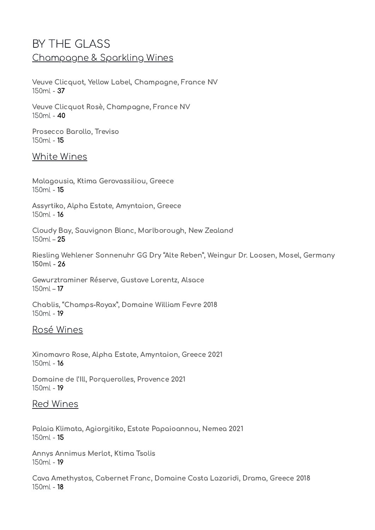# <span id="page-5-0"></span>BY THE GLASS Champagne & Sparkling Wines

Veuve Clicquot, Yellow Label, Champagne, France NV 150ml - 37

Veuve Clicquot Rosè, Champagne, France NV  $150ml - 40$ 

Prosecco Barollo, Treviso 150ml - 15

### White Wines

Malagousia, Ktima Gerovassiliou, Greece 150ml - 15

Assyrtiko, Alpha Estate, Amyntaion, Greece 150ml - 16

Cloudy Bay, Sauvignon Blanc, Marlborough, New Zealand 150ml – 25

Riesling Wehlener Sonnenuhr GG Dry "Alte Reben", Weingur Dr. Loosen, Mosel, Germany  $150ml - 26$ 

Gewurztraminer Réserve, Gustave Lorentz, Alsace 150ml – 17

Chablis, "Champs-Royax", Domaine William Fevre 2018 150ml - 19

#### Rosé Wines

Xinomavro Rose, Alpha Estate, Amyntaion, Greece 2021  $150ml - 16$ 

Domaine de l'Ill, Porquerolles, Provence 2021 150ml - 19

#### Red Wines

Palaia Klimata, Agiorgitiko, Estate Papaioannou, Nemea 2021 150ml - 15

Annys Annimus Merlot, Ktima Tsolis 150ml - 19

Cava Amethystos, Cabernet Franc, Domaine Costa Lazaridi, Drama, Greece 2018 150ml - 18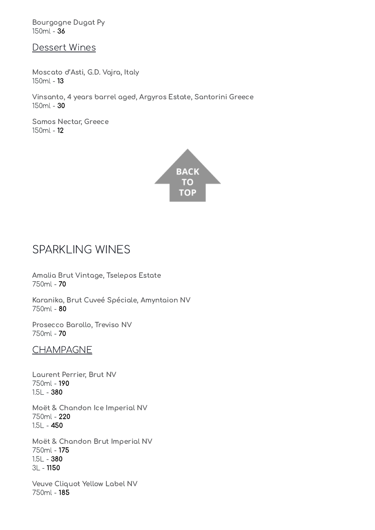Bourgogne Dugat Py 150ml - 36

Dessert Wines

Moscato d'Asti, G.D. Vajra, Italy 150ml - 13

Vinsanto, 4 years barrel aged, Argyros Estate, Santorini Greece 150ml - 30

Samos Nectar, Greece 150ml - 12



# <span id="page-6-0"></span>SPARKLING WINES

Amalia Brut Vintage, Tselepos Estate 750ml - 70

Karanika, Brut Cuveé Spéciale, Amyntaion NV 750ml - 80

Prosecco Barollo, Treviso NV 750ml - 70

## CHAMPAGNE

Laurent Perrier, Brut NV 750ml - 190  $1.5L - 380$ 

Moët & Chandon Ice Imperial NV 750ml - 220  $1.5L - 450$ 

Moët & Chandon Brut Imperial NV 750ml - 175  $1.5L - 380$ 3L - 1150

Veuve Cliquot Yellow Label NV 750ml - 185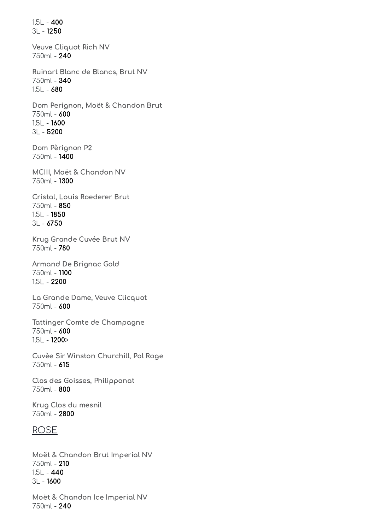1.5L - 400 3L - 1250 Veuve Cliquot Rich NV 750ml - 240 Ruinart Blanc de Blancs, Brut NV 750ml - 340 1.5L - 680 Dom Perignon, Moët & Chandon Brut 750ml - 600  $1.5L - 1600$ 3L - 5200 Dom Pèrignon P2 750ml - 1400 MCIII, Moët & Chandon NV 750ml - 1300 Cristal, Louis Roederer Brut 750ml - 850 1.5L - 1850 3L - 6750 Krug Grande Cuvée Brut NV 750ml - 780 Armand De Brignac Gold 750ml - 1100 1.5L - 2200 La Grande Dame, Veuve Clicquot 750ml - 600 Tattinger Comte de Champagne 750ml - 600 1.5L - 1200> Cuvèe Sir Winston Churchill, Pol Roge 750ml - 615 Clos des Goisses, Philipponat 750ml - 800 Krug Clos du mesnil 750ml - 2800 ROSE Moët & Chandon Brut Imperial NV 750ml - 210

1.5L - 440 3L - 1600

Moët & Chandon Ice Imperial NV 750ml - 240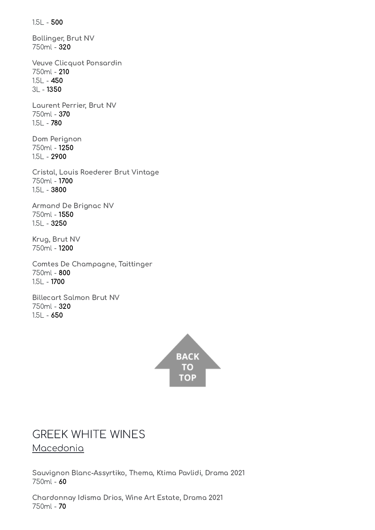1.5L - 500

Bollinger, Brut NV 750ml - 320

Veuve Clicquot Ponsardin 750ml - 210  $1.5L - 450$ 3L - 1350

Laurent Perrier, Brut NV 750ml - 370 1.5L - 780

Dom Perignon 750ml - 1250 1.5L - 2900

Cristal, Louis Roederer Brut Vintage 750ml - 1700 1.5L - 3800

Armand De Brignac NV 750ml - 1550 1.5L - 3250

Krug, Brut NV 750ml - 1200

Comtes De Champagne, Taittinger 750ml - 800  $1.5L - 1700$ 

Billecart Salmon Brut NV 750ml - 320 1.5L - 650



## <span id="page-8-0"></span>GREEK WHITE WINES Macedonia

Sauvignon Blanc-Assyrtiko, Thema, Ktima Pavlidi, Drama 2021 750ml - 60

Chardonnay Idisma Drios, Wine Art Estate, Drama 2021 750ml - 70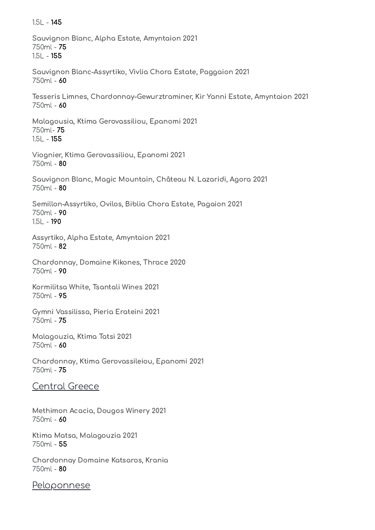Sauvignon Blanc, Alpha Estate, Amyntaion 2021 750ml - 75 1.5L - 155 Sauvignon Blanc-Assyrtiko, Vivlia Chora Estate, Paggaion 2021 750ml - 60 Tesseris Limnes, Chardonnay-Gewurztraminer, Kir Yanni Estate, Amyntaion 2021 750ml - 60 Malagousia, Ktima Gerovassiliou, Epanomi 2021 750ml- 75 1.5L - 155 Viognier, Ktima Gerovassiliou, Epanomi 2021 750ml - 80 Sauvignon Blanc, Magic Mountain, Château N. Lazaridi, Agora 2021 750ml - 80 Semillon-Assyrtiko, Ovilos, Biblia Chora Estate, Pagaion 2021 750ml - 90 1.5L - 190 Assyrtiko, Alpha Estate, Amyntaion 2021 750ml - 82 Chardonnay, Domaine Kikones, Thrace 2020 750ml - 90 Kormilitsa White, Tsantali Wines 2021 750ml - 95 Gymni Vassilissa, Pieria Erateini 2021 750ml - 75 Malagouzia, Ktima Tatsi 2021 750ml - 60 Chardonnay, Ktima Gerovassileiou, Epanomi 2021 750ml - 75 Central Greece Methimon Acacia, Dougos Winery 2021 750ml - 60 Ktima Matsa, Malagouzia 2021 750ml - 55 Chardonnay Domaine Katsaros, Krania 750ml - 80

1.5L - 145

**Peloponnese**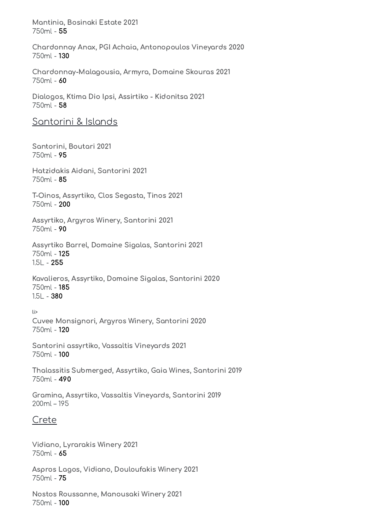Mantinia, Bosinaki Estate 2021 750ml - 55

Chardonnay Anax, PGI Achaia, Antonopoulos Vineyards 2020 750ml - 130

Chardonnay-Malagousia, Armyra, Domaine Skouras 2021 750ml - 60

Dialogos, Ktima Dio Ipsi, Assirtiko - Kidonitsa 2021 750ml - 58

#### Santorini & Islands

Santorini, Boutari 2021 750ml - 95

Hatzidakis Aidani, Santorini 2021 750ml - 85

T-Oinos, Assyrtiko, Clos Segasta, Tinos 2021 750ml - 200

Assyrtiko, Argyros Winery, Santorini 2021 750ml - 90

Assyrtiko Barrel, Domaine Sigalas, Santorini 2021 750ml - 125 1.5L - 255

Kavalieros, Assyrtiko, Domaine Sigalas, Santorini 2020 750ml - 185 1.5L - 380

li>

Cuvee Monsignori, Argyros Winery, Santorini 2020 750ml - 120

Santorini assyrtiko, Vassaltis Vineyards 2021 750ml - 100

Thalassitis Submerged, Assyrtiko, Gaia Wines, Santorini 2019 750ml - 490

Gramina, Assyrtiko, Vassaltis Vineyards, Santorini 2019 200ml – 195

## Crete

Vidiano, Lyrarakis Winery 2021 750ml - 65

Aspros Lagos, Vidiano, Douloufakis Winery 2021 750ml - 75

Nostos Roussanne, Manousaki Winery 2021 750ml - 100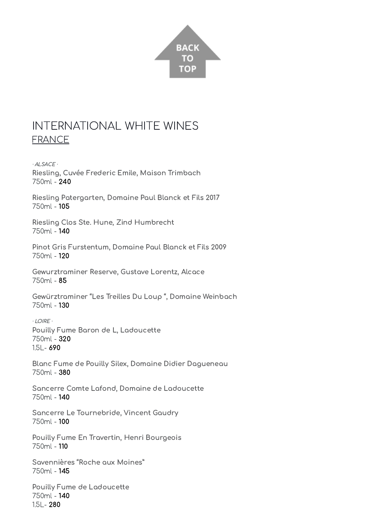

# <span id="page-11-0"></span>INTERNATIONAL WHITE WINES FRANCE

· ALSACE · Riesling, Cuvée Frederic Emile, Maison Trimbach 750ml - 240

Riesling Patergarten, Domaine Paul Blanck et Fils 2017 750ml - 105

Riesling Clos Ste. Hune, Zind Humbrecht 750ml - 140

Pinot Gris Furstentum, Domaine Paul Blanck et Fils 2009 750ml - 120

Gewurztraminer Reserve, Gustave Lorentz, Alcace 750ml - 85

Gewürztraminer "Les Treilles Du Loup ", Domaine Weinbach 750ml - 130

· LOIRE · Pouilly Fume Baron de L, Ladoucette 750ml - 320 1.5L- 690

Blanc Fume de Pouilly Silex, Domaine Didier Dagueneau 750ml - 380

Sancerre Comte Lafond, Domaine de Ladoucette 750ml - 140

Sancerre Le Tournebride, Vincent Gaudry 750ml - 100

Pouilly Fume En Travertin, Henri Bourgeois 750ml - 110

Savennières "Roche aux Moines" 750ml - 145

Pouilly Fume de Ladoucette 750ml - 140 1.5L- 280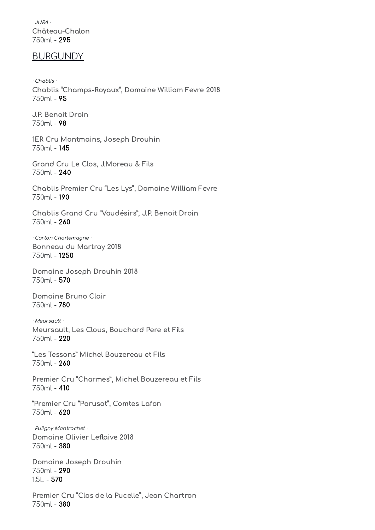· JURA · Château-Chalon 750ml - 295

#### BURGUNDY

· Chablis · Chablis "Champs-Royaux", Domaine William Fevre 2018 750ml - 95

J.P. Benoit Droin 750ml - 98

1ER Cru Montmains, Joseph Drouhin 750ml - 145

Grand Cru Le Clos, J.Moreau & Fils 750ml - 240

Chablis Premier Cru "Les Lys", Domaine William Fevre 750ml - 190

Chablis Grand Cru "Vaudésirs", J.P. Benoit Droin 750ml - 260

· Corton Charlemagne · Bonneau du Martray 2018 750ml - 1250

Domaine Joseph Drouhin 2018 750ml - 570

Domaine Bruno Clair 750ml - 780

· Meursault · Meursault, Les Clous, Bouchard Pere et Fils 750ml - 220

"Les Tessons" Michel Bouzereau et Fils 750ml - 260

Premier Cru "Charmes", Michel Bouzereau et Fils 750ml - 410

"Premier Cru "Porusot", Comtes Lafon 750ml - 620

· Puligny Montrachet · Domaine Olivier Leflaive 2018 750ml - 380

Domaine Joseph Drouhin 750ml - 290 1.5L - 570

Premier Cru "Clos de la Pucelle", Jean Chartron 750ml - 380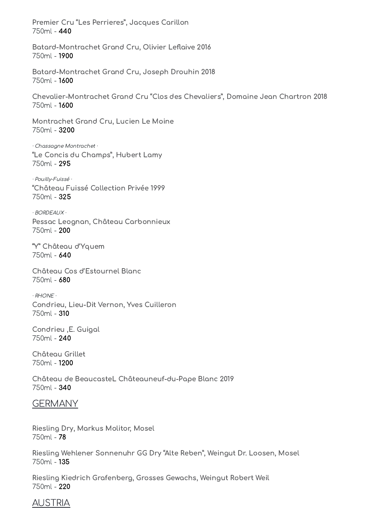Premier Cru "Les Perrieres", Jacques Carillon 750ml - 440

Batard-Montrachet Grand Cru, Olivier Leflaive 2016 750ml - 1900

Batard-Montrachet Grand Cru, Joseph Drouhin 2018 750ml - 1600

Chevalier-Montrachet Grand Cru "Clos des Chevaliers", Domaine Jean Chartron 2018 750ml - 1600

Montrachet Grand Cru, Lucien Le Moine 750ml - 3200

· Chassagne Montrachet · "Le Concis du Champs", Hubert Lamy 750ml - 295

· Pouilly-Fuissé · "Château Fuissé Collection Privée 1999 750ml - 325

· BORDEAUX · Pessac Leognan, Château Carbonnieux 750ml - 200

"Y" Château d'Yquem 750ml - 640

Château Cos d'Estournel Blanc 750ml - 680

· RHONE · Condrieu, Lieu-Dit Vernon, Yves Cuilleron 750ml - 310

Condrieu ,E. Guigal 750ml - 240

Château Grillet 750ml - 1200

Château de BeaucasteL Châteauneuf-du-Pape Blanc 2019 750ml - 340

#### **GERMANY**

Riesling Dry, Markus Molitor, Mosel 750ml - 78

Riesling Wehlener Sonnenuhr GG Dry "Alte Reben", Weingut Dr. Loosen, Mosel 750ml - 135

Riesling Kiedrich Grafenberg, Grosses Gewachs, Weingut Robert Weil 750ml - 220

## AUSTRIA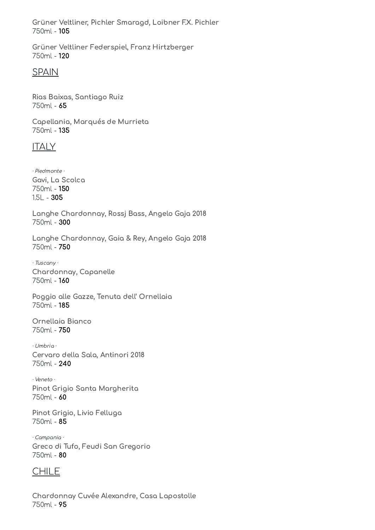Grüner Veltliner, Pichler Smaragd, Loibner F.X. Pichler 750ml - 105

Grüner Veltliner Federspiel, Franz Hirtzberger 750ml - 120

### SPAIN

Rias Baixas, Santiago Ruiz 750ml - 65

Capellania, Marqués de Murrieta 750ml - 135

## **ITALY**

· Piedmonte · Gavi, La Scolca 750ml - 150  $1.5L - 305$ 

Langhe Chardonnay, Rossj Bass, Angelo Gaja 2018 750ml - 300

Langhe Chardonnay, Gaia & Rey, Angelo Gaja 2018 750ml - 750

· Tuscany · Chardonnay, Capanelle 750ml - 160

Poggio alle Gazze, Tenuta dell' Ornellaia 750ml - 185

Ornellaia Bianco 750ml - 750

· Umbria · Cervaro della Sala, Antinori 2018 750ml - 240

· Veneto · Pinot Grigio Santa Margherita 750ml - 60

Pinot Grigio, Livio Felluga 750ml - 85

· Campania · Greco di Tufo, Feudi San Gregorio 750ml - 80

## CHILE

Chardonnay Cuvée Alexandre, Casa Lapostolle 750ml - 95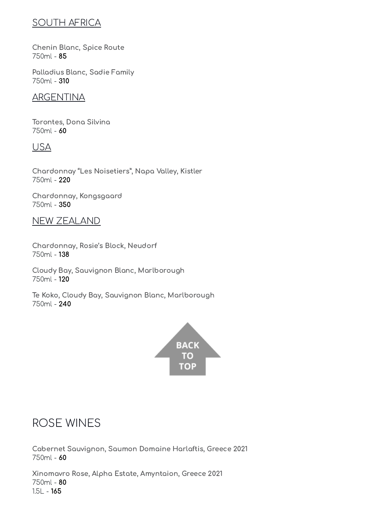## SOUTH AFRICA

Chenin Blanc, Spice Route 750ml - 85

Palladius Blanc, Sadie Family 750ml - 310

## ARGENTINA

Torontes, Dona Silvina 750ml - 60

### USA

Chardonnay "Les Noisetiers", Napa Valley, Kistler 750ml - 220

Chardonnay, Kongsgaard 750ml - 350

NEW ZEALAND

Chardonnay, Rosie's Block, Neudorf 750ml - 138

Cloudy Bay, Sauvignon Blanc, Marlborough 750ml - 120

Te Koko, Cloudy Bay, Sauvignon Blanc, Marlborough 750ml - 240



# <span id="page-15-0"></span>ROSE WINES

Cabernet Sauvignon, Saumon Domaine Harlaftis, Greece 2021 750ml - 60

Xinomavro Rose, Alpha Estate, Amyntaion, Greece 2021 750ml - 80 1.5L - 165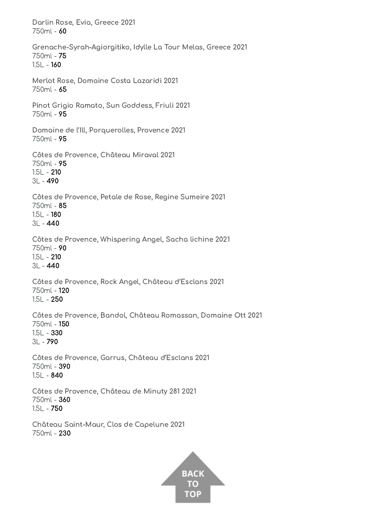Darlin Rose, Evia, Greece 2021 750ml - 60 Grenache-Syrah-Agiorgitiko, Idylle La Tour Melas, Greece 2021 750ml - 75 1.5L - 160 Merlot Rose, Domaine Costa Lazaridi 2021 750ml - 65 Pinot Grigio Ramato, Sun Goddess, Friuli 2021 750ml - 95 Domaine de l'Ill, Porquerolles, Provence 2021 750ml - 95 Côtes de Provence, Château Miraval 2021 750ml - 95 1.5L - 210 3L - 490 Côtes de Provence, Petale de Rose, Regine Sumeire 2021 750ml - 85 1.5L - 180 3L - 440 Côtes de Provence, Whispering Angel, Sacha lichine 2021 750ml - 90 1.5L - 210 3L - 440 Côtes de Provence, Rock Angel, Château d'Esclans 2021 750ml - 120 1.5L - 250 Côtes de Provence, Bandol, Château Romassan, Domaine Ott 2021 750ml - 150 1.5L - 330  $3L - 790$ Côtes de Provence, Garrus, Château d'Esclans 2021 750ml - 390 1.5L - 840 Côtes de Provence, Château de Minuty 281 2021 750ml - 360 1.5L - 750 Château Saint-Maur, Clos de Capelune 2021 750ml - 230

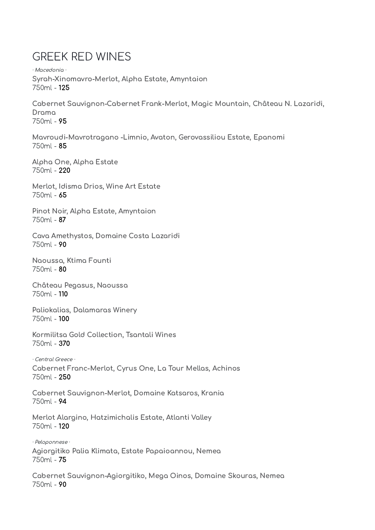# <span id="page-17-0"></span>GREEK RED WINES

· Macedonia · Syrah-Xinomavro-Merlot, Alpha Estate, Amyntaion 750ml - 125

Cabernet Sauvignon-Cabernet Frank-Merlot, Magic Mountain, Château N. Lazaridi, Drama 750ml - 95

Mavroudi-Mavrotragano -Limnio, Avaton, Gerovassiliou Estate, Epanomi 750ml - 85

Alpha One, Alpha Estate 750ml - 220

Merlot, Idisma Drios, Wine Art Estate 750ml - 65

Pinot Noir, Alpha Estate, Amyntaion 750ml - 87

Cava Amethystos, Domaine Costa Lazaridi 750ml - 90

Naoussa, Ktima Founti 750ml - 80

Château Pegasus, Naoussa 750ml - 110

Paliokalias, Dalamaras Winery 750ml - 100

Kormilitsa Gold Collection, Tsantali Wines 750ml - 370

· Central Greece · Cabernet Franc-Merlot, Cyrus One, La Tour Mellas, Achinos 750ml - 250

Cabernet Sauvignon-Merlot, Domaine Katsaros, Krania 750ml - 94

Merlot Alargino, Hatzimichalis Estate, Atlanti Valley 750ml - 120

· Peloponnese · Agiorgitiko Palia Klimata, Estate Papaioannou, Nemea 750ml - 75

Cabernet Sauvignon-Agiorgitiko, Mega Oinos, Domaine Skouras, Nemea 750ml - 90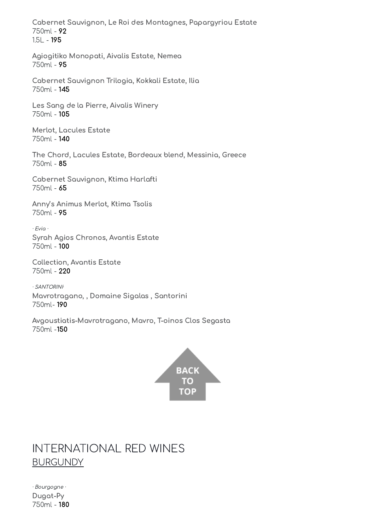Cabernet Sauvignon, Le Roi des Montagnes, Papargyriou Estate 750ml - 92 1.5L - 195

Agiogitiko Monopati, Aivalis Estate, Nemea 750ml - 95

Cabernet Sauvignon Trilogia, Kokkali Estate, Ilia 750ml - 145

Les Sang de la Pierre, Aivalis Winery 750ml - 105

Merlot, Lacules Estate 750ml - 140

The Chord, Lacules Estate, Bordeaux blend, Messinia, Greece 750ml - 85

Cabernet Sauvignon, Ktima Harlafti 750ml - 65

Anny's Animus Merlot, Ktima Tsolis 750ml - 95

· Evia · Syrah Agios Chronos, Avantis Estate 750ml - 100

Collection, Avantis Estate 750ml - 220

· SANTORINI· Mavrotragano, , Domaine Sigalas , Santorini 750ml- 190

Avgoustiatis-Mavrotragano, Mavro, T-oinos Clos Segasta 750ml -150



# <span id="page-18-0"></span>INTERNATIONAL RED WINES **BURGUNDY**

· Bourgogne · Dugat-Py 750ml - 180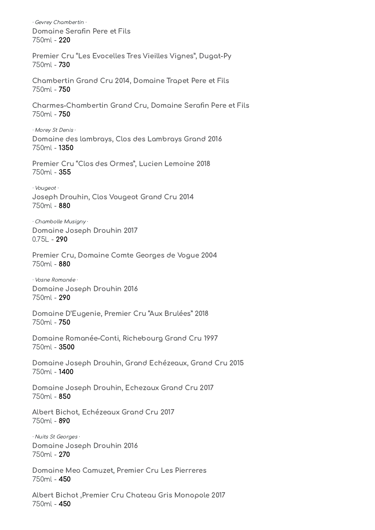· Gevrey Chambertin · Domaine Serafin Pere et Fils 750ml - 220 Premier Cru "Les Evocelles Tres Vieilles Vignes", Dugat-Py 750ml - 730 Chambertin Grand Cru 2014, Domaine Trapet Pere et Fils 750ml - 750 Charmes-Chambertin Grand Cru, Domaine Serafin Pere et Fils 750ml - 750 · Morey St Denis · Domaine des lambrays, Clos des Lambrays Grand 2016 750ml - 1350 Premier Cru "Clos des Ormes", Lucien Lemoine 2018 750ml - 355 · Vougeot · Joseph Drouhin, Clos Vougeot Grand Cru 2014 750ml - 880 · Chambolle Musigny · Domaine Joseph Drouhin 2017  $0.75L - 290$ Premier Cru, Domaine Comte Georges de Vogue 2004 750ml - 880 · Vosne Romanée · Domaine Joseph Drouhin 2016 750ml - 290 Domaine D'Eugenie, Premier Cru "Aux Brulées" 2018 750ml - 750 Domaine Romanée-Conti, Richebourg Grand Cru 1997 750ml - 3500 Domaine Joseph Drouhin, Grand Echézeaux, Grand Cru 2015 750ml - 1400 Domaine Joseph Drouhin, Echezaux Grand Cru 2017 750ml - 850 Albert Bichot, Echézeaux Grand Cru 2017 750ml - 890 · Nuits St Georges · Domaine Joseph Drouhin 2016 750ml - 270 Domaine Meo Camuzet, Premier Cru Les Pierreres 750ml - 450 Albert Bichot ,Premier Cru Chateau Gris Monopole 2017

750ml - 450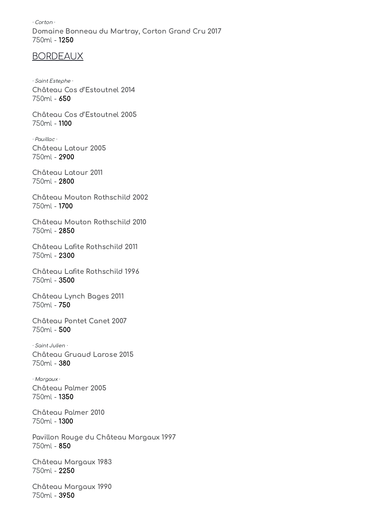· Corton · Domaine Bonneau du Martray, Corton Grand Cru 2017 750ml - 1250

#### BORDEAUX

· Saint Estephe · Château Cos d'Estoutnel 2014 750ml - 650

Château Cos d'Estoutnel 2005 750ml - 1100

· Pauillac · Château Latour 2005 750ml - 2900

Château Latour 2011 750ml - 2800

Château Mouton Rothschild 2002 750ml - 1700

Château Mouton Rothschild 2010 750ml - 2850

Château Lafite Rothschild 2011 750ml - 2300

Château Lafite Rothschild 1996 750ml - 3500

Château Lynch Bages 2011 750ml - 750

Château Pontet Canet 2007 750ml - 500

· Saint Julien · Château Gruaud Larose 2015 750ml - 380

· Margaux · Château Palmer 2005 750ml - 1350

Château Palmer 2010 750ml - 1300

Pavillon Rouge du Château Margaux 1997 750ml - 850

Château Margaux 1983 750ml - 2250

Château Margaux 1990 750ml - 3950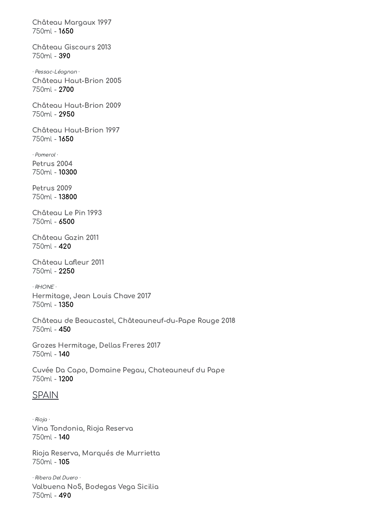Château Margaux 1997 750ml - 1650

Château Giscours 2013 750ml - 390

· Pessac-Léognan · Château Haut-Brion 2005 750ml - 2700

Château Haut-Brion 2009 750ml - 2950

Château Haut-Brion 1997 750ml - 1650

· Pomerol · Petrus 2004 750ml - 10300

Petrus 2009 750ml - 13800

Château Le Pin 1993 750ml - 6500

Château Gazin 2011 750ml - 420

Château Lafleur 2011 750ml - 2250

· RHONE · Hermitage, Jean Louis Chave 2017 750ml - 1350

Château de Beaucastel, Châteauneuf-du-Pape Rouge 2018 750ml - 450

Grozes Hermitage, Dellas Freres 2017 750ml - 140

Cuvée Da Capo, Domaine Pegau, Chateauneuf du Pape 750ml - 1200

#### SPAIN

· Rioja · Vina Tondonia, Rioja Reserva 750ml - 140

Rioja Reserva, Marqués de Murrietta 750ml - 105

· Ribera Del Duero · Valbuena No5, Bodegas Vega Sicilia 750ml - 490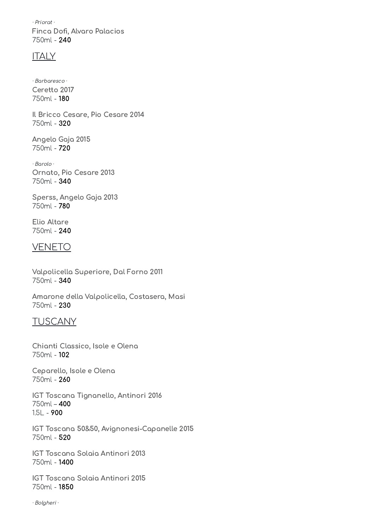· Priorat · Finca Dofi, Alvaro Palacios 750ml - 240

#### **ITALY**

· Barbaresco · Ceretto 2017 750ml - 180

Il Bricco Cesare, Pio Cesare 2014 750ml - 320

Angelo Gaja 2015 750ml - 720

· Barolo · Ornato, Pio Cesare 2013 750ml - 340

Sperss, Angelo Gaja 2013 750ml - 780

Elio Altare 750ml - 240

#### VENETO

Valpolicella Superiore, Dal Forno 2011 750ml - 340

Amarone della Valpolicella, Costasera, Masi 750ml - 230

### TUSCANY

Chianti Classico, Isole e Olena 750ml - 102

Ceparello, Isole e Olena 750ml - 260

IGT Toscana Tignanello, Antinori 2016 750ml – 400 1.5L - 900

IGT Toscana 50&50, Avignonesi-Capanelle 2015 750ml - 520

IGT Toscana Solaia Antinori 2013 750ml - 1400

IGT Toscana Solaia Antinori 2015 750ml - 1850

· Bolgheri ·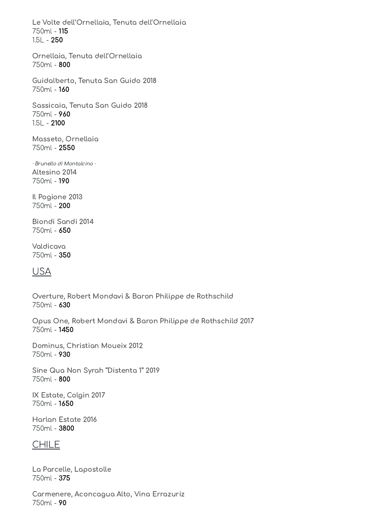Le Volte dell'Ornellaia, Tenuta dell'Ornellaia 750ml - 115 1.5L - 250

Ornellaia, Tenuta dell'Ornellaia 750ml - 800

Guidalberto, Tenuta San Guido 2018 750ml - 160

Sassicaia, Tenuta San Guido 2018 750ml - 960 1.5L - 2100

Masseto, Ornellaia 750ml - 2550

· Brunello di Montalcino · Altesino 2014 750ml - 190

Il Pogione 2013 750ml - 200

Biondi Sandi 2014 750ml - 650

Valdicava 750ml - 350

## USA

Overture, Robert Mondavi & Baron Philippe de Rothschild 750ml - 630

Opus One, Robert Mondavi & Baron Philippe de Rothschild 2017 750ml - 1450

Dominus, Christian Moueix 2012 750ml - 930

Sine Qua Non Syrah "Distenta 1" 2019 750ml - 800

IX Estate, Colgin 2017 750ml - 1650

Harlan Estate 2016 750ml - 3800

## CHILE

La Parcelle, Lapostolle 750ml - 375

Carmenere, Aconcagua Alto, Vina Errazuriz 750ml - 90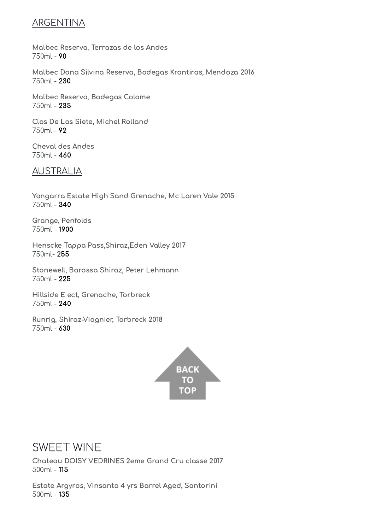## ARGENTINA

Malbec Reserva, Terrazas de los Andes 750ml - 90

Malbec Dona Silvina Reserva, Bodegas Krontiras, Mendoza 2016 750ml - 230

Malbec Reserva, Bodegas Colome 750ml - 235

Clos De Los Siete, Michel Rolland 750ml - 92

Cheval des Andes 750ml - 460

## AUSTRALIA

Yangarra Estate High Sand Grenache, Mc Laren Vale 2015 750ml - 340

Grange, Penfolds 750ml – 1900

Henscke Tappa Pass,Shiraz,Eden Valley 2017 750ml- 255

Stonewell, Barossa Shiraz, Peter Lehmann 750ml - 225

Hillside E ect, Grenache, Torbreck 750ml - 240

Runrig, Shiraz-Viognier, Torbreck 2018 750ml - 630



# <span id="page-24-0"></span>SWEET WINE

Chateau DOISY VEDRINES 2eme Grand Cru classe 2017 500ml - 115

Estate Argyros, Vinsanto 4 yrs Barrel Aged, Santorini 500ml - 135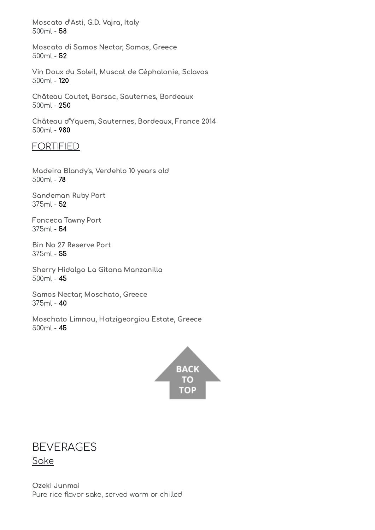Moscato d'Asti, G.D. Vajra, Italy 500ml - 58

Moscato di Samos Nectar, Samos, Greece 500ml - 52

Vin Doux du Soleil, Muscat de Céphalonie, Sclavos 500ml - 120

Château Coutet, Barsac, Sauternes, Bordeaux 500ml - 250

Château d'Yquem, Sauternes, Bordeaux, France 2014 500ml - 980

#### FORTIFIED

Madeira Blandy's, Verdehlo 10 years old 500ml - 78

Sandeman Ruby Port 375ml - 52

Fonceca Tawny Port 375ml - 54

Bin No 27 Reserve Port 375ml - 55

Sherry Hidalgo La Gitana Manzanilla 500ml - 45

Samos Nectar, Moschato, Greece 375ml - 40

Moschato Limnou, Hatzigeorgiou Estate, Greece 500ml - 45



## <span id="page-25-0"></span>**BEVERAGES** Sake

Ozeki Junmai Pure rice flavor sake, served warm or chilled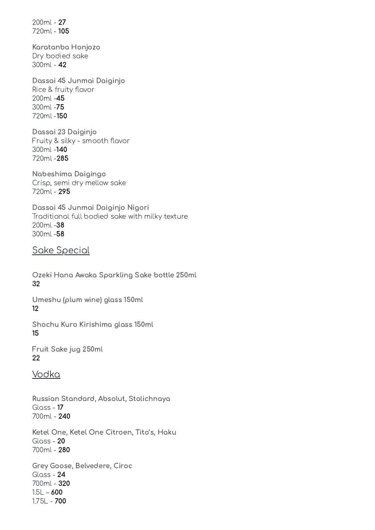200ml - 27 720ml - 105

Karatanba Honjozo Dry bodied sake 300ml - 42

Dassai 45 Junmai Daiginjo Rice & fruity flavor 200ml -45 300ml -75 720ml -150

Dassai 23 Daiginjo Fruity & silky - smooth flavor 300ml -140 720ml -285

Nabeshima Daigingo Crisp, semi dry mellow sake 720ml - 295

Dassai 45 Junmai Daiginjo Nigori Traditional full bodied sake with milky texture 200ml -38 300ml -58

Sake Special

Ozeki Hana Awaka Sparkling Sake bottle 250ml 32

Umeshu (plum wine) glass 150ml 12

Shochu Kuro Kirishima glass 150ml 15

Fruit Sake jug 250ml 22

## Vodka

Russian Standard, Absolut, Stolichnaya Glass - 17 700ml - 240

Ketel One, Ketel One Citroen, Tito's, Haku Glass - 20 700ml - 280

Grey Goose, Belvedere, Ciroc Glass - 24 700ml - 320  $1.5L - 600$ 1.75L - 700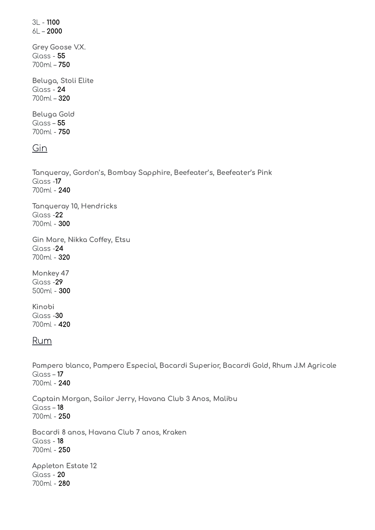3L - 1100 6L – 2000 Grey Goose V.X. Glass - 55 700ml – 750 Beluga, Stoli Elite Glass - 24 700ml – 320 Beluga Gold Glass –  $55$ 700ml - 750

### Gin

Tanqueray, Gordon's, Bombay Sapphire, Beefeater's, Beefeater's Pink Glass -17 700ml - 240

Tanqueray 10, Hendricks Glass -22 700ml - 300

Gin Mare, Nikka Coffey, Etsu Glass -24 700ml - 320

Monkey 47 Glass -29 500ml - 300

Kinobi Glass -30 700ml - 420

#### Rum

Pampero blanco, Pampero Especial, Bacardi Superior, Bacardi Gold, Rhum J.M Agricole Glass – 17 700ml - 240

Captain Morgan, Sailor Jerry, Havana Club 3 Anos, Malibu Glass – 18 700ml - 250

Bacardi 8 anos, Havana Club 7 anos, Kraken Glass - 18 700ml - 250

Appleton Estate 12 Glass - 20 700ml - 280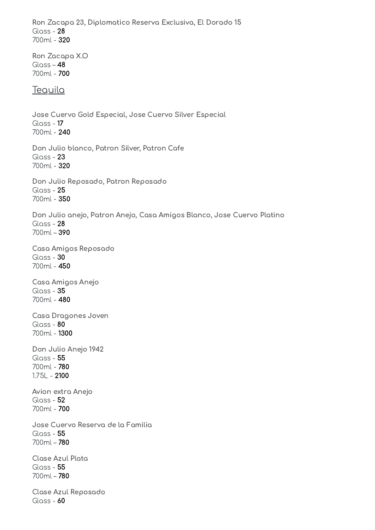Ron Zacapa 23, Diplomatico Reserva Exclusiva, El Dorado 15 Glass - 28 700ml - 320

Ron Zacapa X.O Glass – 48 700ml - 700

#### **Teguila**

Jose Cuervo Gold Especial, Jose Cuervo Silver Especial Glass - 17 700ml - 240 Don Julio blanco, Patron Silver, Patron Cafe Glass - 23 700ml - 320 Don Julio Reposado, Patron Reposado Glass - 25 700ml - 350 Don Julio anejo, Patron Anejo, Casa Amigos Blanco, Jose Cuervo Platino Glass - 28 700ml – 390 Casa Amigos Reposado Glass - 30 700ml - 450 Casa Amigos Anejo Glass - 35 700ml - 480 Casa Dragones Joven Glass - 80 700ml - 1300 Don Julio Anejo 1942 Glass - 55 700ml - 780 1.75L - 2100 Avion extra Anejo Glass - 52 700ml - 700 Jose Cuervo Reserva de la Familia Glass - 55 700ml – 780 Clase Azul Plata Glass - 55 700ml – 780 Clase Azul Reposado Glass - 60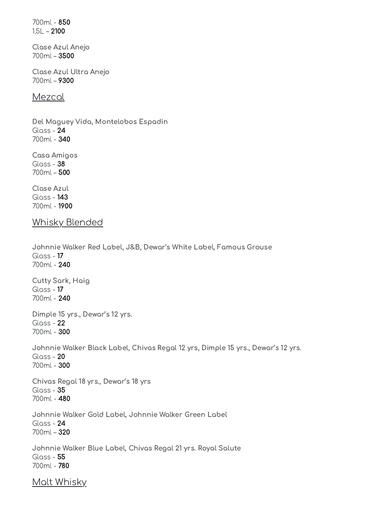700ml - 850  $1.5L - 2100$ 

Clase Azul Anejo 700ml – 3500

Clase Azul Ultra Anejo 700ml – 9300

#### Mezcal

Del Maguey Vida, Montelobos Espadin Glass - 24 700ml - 340

Casa Amigos Glass - 38 700ml – 500

Clase Azul Glass - 143 700ml - 1900

### Whisky Blended

Johnnie Walker Red Label, J&B, Dewar's White Label, Famous Grouse Glass - 17 700ml - 240 Cutty Sark, Haig Glass - 17 700ml - 240 Dimple 15 yrs., Dewar's 12 yrs. Glass - 22 700ml - 300 Johnnie Walker Black Label, Chivas Regal 12 yrs, Dimple 15 yrs., Dewar's 12 yrs. Glass - 20 700ml - 300 Chivas Regal 18 yrs., Dewar's 18 yrs Glass - 35 700ml - 480 Johnnie Walker Gold Label, Johnnie Walker Green Label Glass - 24 700ml – 320 Johnnie Walker Blue Label, Chivas Regal 21 yrs. Royal Salute Glass - 55 700ml - 780 Malt Whisky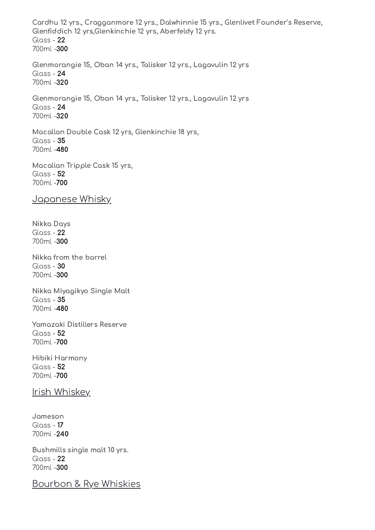Cardhu 12 yrs., Cragganmore 12 yrs., Dalwhinnie 15 yrs., Glenlivet Founder's Reserve, Glenfiddich 12 yrs,Glenkinchie 12 yrs, Aberfeldy 12 yrs. Glass - 22 700ml -300 Glenmorangie 15, Oban 14 yrs., Talisker 12 yrs., Lagavulin 12 yrs Glass - 24 700ml -320 Glenmorangie 15, Oban 14 yrs., Talisker 12 yrs., Lagavulin 12 yrs Glass - 24 700ml -320 Macallan Double Cask 12 yrs, Glenkinchie 18 yrs, Glass - 35 700ml -480 Macallan Tripple Cask 15 yrs, Glass - 52 700ml -700 Japanese Whisky Nikka Days Glass - 22 700ml -300 Nikka from the barrel  $Gloss - 30$ 700ml -300 Nikka Miyagikyo Single Malt Glass - 35 700ml -480 Yamazaki Distillers Reserve Glass - 52 700ml -700 Hibiki Harmony Glass - 52 700ml -700 Irish Whiskey Jameson Glass - 17 700ml -240 Bushmills single malt 10 yrs. Glass - 22 700ml -300

Bourbon & Rye Whiskies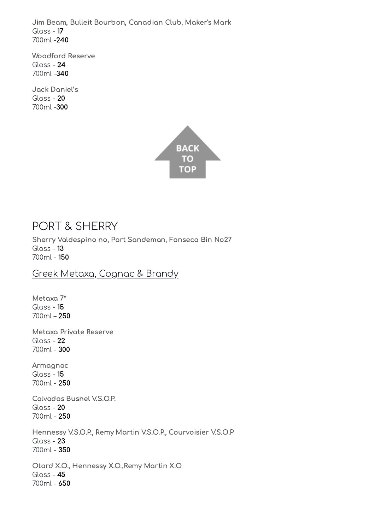Jim Beam, Bulleit Bourbon, Canadian Club, Maker's Mark Glass - 17 700ml -240

Woodford Reserve Glass - 24 700ml -340

Jack Daniel's Glass - 20 700ml -300



# <span id="page-31-0"></span>PORT & SHERRY

Sherry Valdespino no, Port Sandeman, Fonseca Bin No27 Glass - 13 700ml - 150

## Greek Metaxa, Cognac & Brandy

Metaxa 7\* Glass - 15 700ml – 250

Metaxa Private Reserve Glass - 22 700ml - 300

Armagnac Glass - 15 700ml - 250

Calvados Busnel V.S.O.P. Glass - 20 700ml - 250

Hennessy V.S.O.P., Remy Martin V.S.O.P., Courvoisier V.S.O.P Glass - 23 700ml - 350 Otard X.O., Hennessy X.O.,Remy Martin X.O Glass - 45

700ml - 650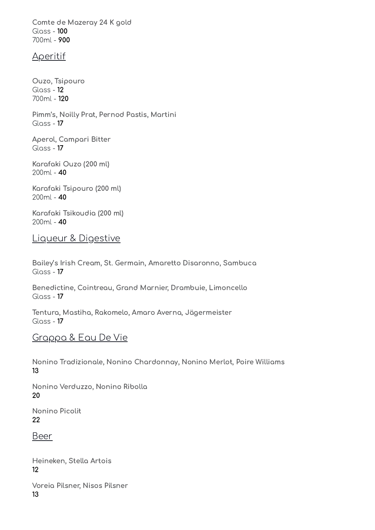Comte de Mazeray 24 K gold Glass - 100 700ml - 900

#### Aperitif

Ouzo, Tsipouro Glass - 12 700ml - 120

Pimm's, Noilly Prat, Pernod Pastis, Martini Glass - 17

Aperol, Campari Bitter Glass - 17

Karafaki Ouzo (200 ml) 200ml - 40

Karafaki Tsipouro (200 ml) 200ml - 40

Karafaki Tsikoudia (200 ml) 200ml - 40

Liqueur & Digestive

Bailey's Irish Cream, St. Germain, Amaretto Disaronno, Sambuca Glass - 17

Benedictine, Cointreau, Grand Marnier, Drambuie, Limoncello Glass - 17

Tentura, Mastiha, Rakomelo, Amaro Averna, Jägermeister  $Gloss - 17$ 

## Grappa & Eau De Vie

Nonino Tradizionale, Nonino Chardonnay, Nonino Merlot, Poire Williams 13

Nonino Verduzzo, Nonino Ribolla 20

Nonino Picolit 22

Beer

Heineken, Stella Artois 12

Voreia Pilsner, Nisos Pilsner 13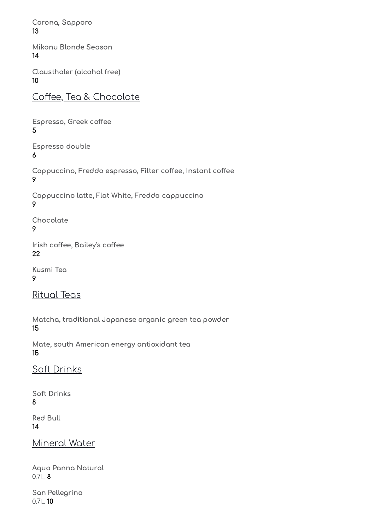Corona, Sapporo 13

Mikonu Blonde Season 14

Clausthaler (alcohol free) 10

Coffee, Tea & Chocolate

Espresso, Greek coffee 5

Espresso double 6

Cappuccino, Freddo espresso, Filter coffee, Instant coffee 9

Cappuccino latte, Flat White, Freddo cappuccino 9

Chocolate

9

Irish coffee, Bailey's coffee 22

Kusmi Tea 9

Ritual Teas

Matcha, traditional Japanese organic green tea powder 15

Mate, south American energy antioxidant tea 15

Soft Drinks

Soft Drinks 8

Red Bull 14

Mineral Water

Aqua Panna Natural 0.7L 8

San Pellegrino 0.7L 10